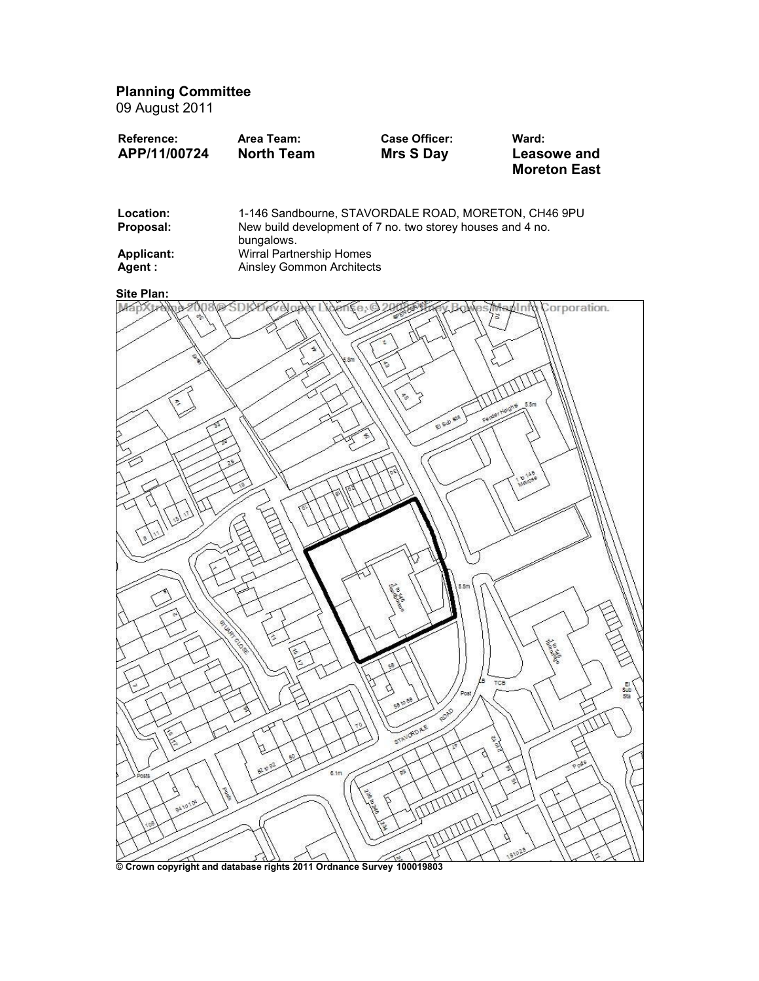Planning Committee

09 August 2011

| Reference:   | Area Team:        | <b>Case Officer:</b> | Ward:               |
|--------------|-------------------|----------------------|---------------------|
| APP/11/00724 | <b>North Team</b> | Mrs S Day            | Leasowe and         |
|              |                   |                      | <b>Moreton East</b> |

| Location:<br>Proposal: | 1-146 Sandbourne, STAVORDALE ROAD, MORETON, CH46 9PU<br>New build development of 7 no. two storey houses and 4 no.<br>bungalows. |
|------------------------|----------------------------------------------------------------------------------------------------------------------------------|
| Applicant:             | Wirral Partnership Homes                                                                                                         |
| Agent :                | Ainsley Gommon Architects                                                                                                        |



Crown copyright and database rights 2011 Ordnance Survey 100019803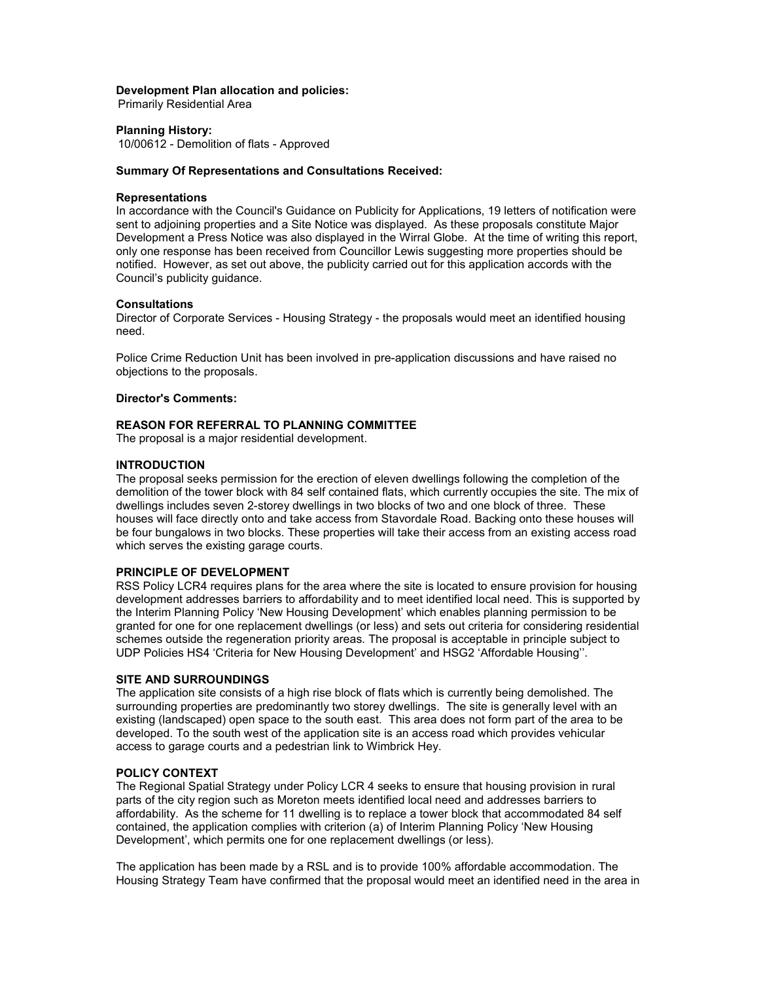### Development Plan allocation and policies:

Primarily Residential Area

## Planning History:

10/00612 - Demolition of flats - Approved

# Summary Of Representations and Consultations Received:

# **Representations**

In accordance with the Council's Guidance on Publicity for Applications, 19 letters of notification were sent to adjoining properties and a Site Notice was displayed. As these proposals constitute Major Development a Press Notice was also displayed in the Wirral Globe. At the time of writing this report, only one response has been received from Councillor Lewis suggesting more properties should be notified. However, as set out above, the publicity carried out for this application accords with the Council's publicity guidance.

## **Consultations**

Director of Corporate Services - Housing Strategy - the proposals would meet an identified housing need.

Police Crime Reduction Unit has been involved in pre-application discussions and have raised no objections to the proposals.

## Director's Comments:

# REASON FOR REFERRAL TO PLANNING COMMITTEE

The proposal is a major residential development.

# **INTRODUCTION**

The proposal seeks permission for the erection of eleven dwellings following the completion of the demolition of the tower block with 84 self contained flats, which currently occupies the site. The mix of dwellings includes seven 2-storey dwellings in two blocks of two and one block of three. These houses will face directly onto and take access from Stavordale Road. Backing onto these houses will be four bungalows in two blocks. These properties will take their access from an existing access road which serves the existing garage courts.

## PRINCIPLE OF DEVELOPMENT

RSS Policy LCR4 requires plans for the area where the site is located to ensure provision for housing development addresses barriers to affordability and to meet identified local need. This is supported by the Interim Planning Policy 'New Housing Development' which enables planning permission to be granted for one for one replacement dwellings (or less) and sets out criteria for considering residential schemes outside the regeneration priority areas. The proposal is acceptable in principle subject to UDP Policies HS4 'Criteria for New Housing Development' and HSG2 'Affordable Housing''.

#### SITE AND SURROUNDINGS

The application site consists of a high rise block of flats which is currently being demolished. The surrounding properties are predominantly two storey dwellings. The site is generally level with an existing (landscaped) open space to the south east. This area does not form part of the area to be developed. To the south west of the application site is an access road which provides vehicular access to garage courts and a pedestrian link to Wimbrick Hey.

# POLICY CONTEXT

The Regional Spatial Strategy under Policy LCR 4 seeks to ensure that housing provision in rural parts of the city region such as Moreton meets identified local need and addresses barriers to affordability. As the scheme for 11 dwelling is to replace a tower block that accommodated 84 self contained, the application complies with criterion (a) of Interim Planning Policy 'New Housing Development', which permits one for one replacement dwellings (or less).

The application has been made by a RSL and is to provide 100% affordable accommodation. The Housing Strategy Team have confirmed that the proposal would meet an identified need in the area in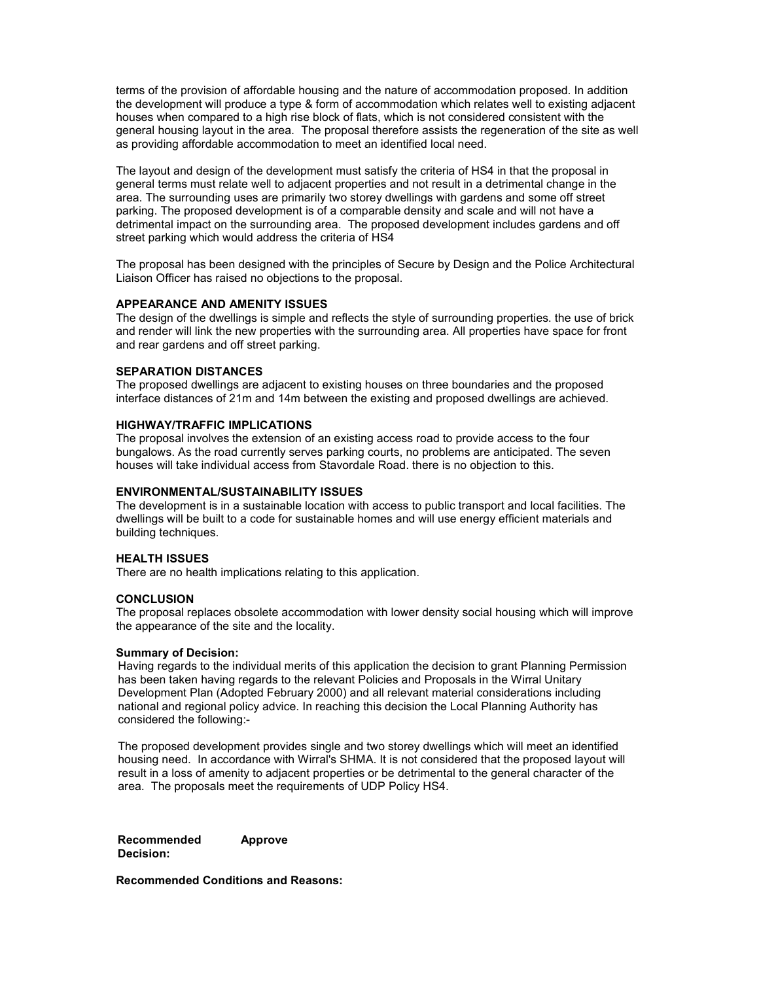terms of the provision of affordable housing and the nature of accommodation proposed. In addition the development will produce a type & form of accommodation which relates well to existing adjacent houses when compared to a high rise block of flats, which is not considered consistent with the general housing layout in the area. The proposal therefore assists the regeneration of the site as well as providing affordable accommodation to meet an identified local need.

The layout and design of the development must satisfy the criteria of HS4 in that the proposal in general terms must relate well to adjacent properties and not result in a detrimental change in the area. The surrounding uses are primarily two storey dwellings with gardens and some off street parking. The proposed development is of a comparable density and scale and will not have a detrimental impact on the surrounding area. The proposed development includes gardens and off street parking which would address the criteria of HS4

The proposal has been designed with the principles of Secure by Design and the Police Architectural Liaison Officer has raised no objections to the proposal.

## APPEARANCE AND AMENITY ISSUES

The design of the dwellings is simple and reflects the style of surrounding properties. the use of brick and render will link the new properties with the surrounding area. All properties have space for front and rear gardens and off street parking.

# SEPARATION DISTANCES

The proposed dwellings are adjacent to existing houses on three boundaries and the proposed interface distances of 21m and 14m between the existing and proposed dwellings are achieved.

## HIGHWAY/TRAFFIC IMPLICATIONS

The proposal involves the extension of an existing access road to provide access to the four bungalows. As the road currently serves parking courts, no problems are anticipated. The seven houses will take individual access from Stavordale Road. there is no objection to this.

## ENVIRONMENTAL/SUSTAINABILITY ISSUES

The development is in a sustainable location with access to public transport and local facilities. The dwellings will be built to a code for sustainable homes and will use energy efficient materials and building techniques.

#### HEALTH ISSUES

There are no health implications relating to this application.

#### **CONCLUSION**

The proposal replaces obsolete accommodation with lower density social housing which will improve the appearance of the site and the locality.

# Summary of Decision:

Having regards to the individual merits of this application the decision to grant Planning Permission has been taken having regards to the relevant Policies and Proposals in the Wirral Unitary Development Plan (Adopted February 2000) and all relevant material considerations including national and regional policy advice. In reaching this decision the Local Planning Authority has considered the following:-

The proposed development provides single and two storey dwellings which will meet an identified housing need. In accordance with Wirral's SHMA. It is not considered that the proposed layout will result in a loss of amenity to adjacent properties or be detrimental to the general character of the area. The proposals meet the requirements of UDP Policy HS4.

Recommended Decision: Approve

Recommended Conditions and Reasons: